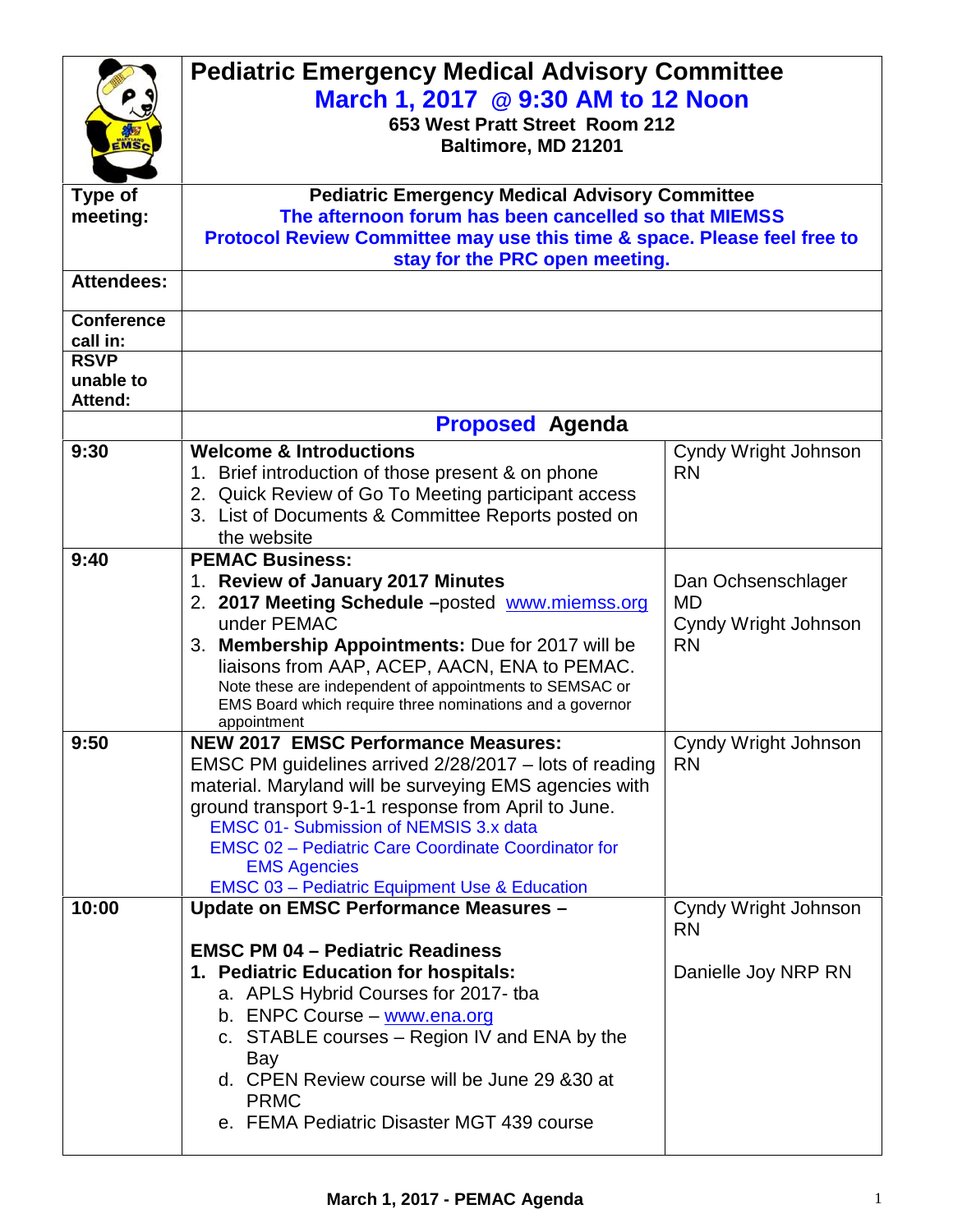|                               | <b>Pediatric Emergency Medical Advisory Committee</b><br>March 1, 2017 @ 9:30 AM to 12 Noon<br>653 West Pratt Street Room 212<br>Baltimore, MD 21201                                                                                                                                                                                                                                                                    |                                                                      |  |
|-------------------------------|-------------------------------------------------------------------------------------------------------------------------------------------------------------------------------------------------------------------------------------------------------------------------------------------------------------------------------------------------------------------------------------------------------------------------|----------------------------------------------------------------------|--|
| <b>Type of</b><br>meeting:    | <b>Pediatric Emergency Medical Advisory Committee</b><br>The afternoon forum has been cancelled so that MIEMSS                                                                                                                                                                                                                                                                                                          |                                                                      |  |
|                               | Protocol Review Committee may use this time & space. Please feel free to<br>stay for the PRC open meeting.                                                                                                                                                                                                                                                                                                              |                                                                      |  |
| <b>Attendees:</b>             |                                                                                                                                                                                                                                                                                                                                                                                                                         |                                                                      |  |
| <b>Conference</b><br>call in: |                                                                                                                                                                                                                                                                                                                                                                                                                         |                                                                      |  |
| <b>RSVP</b>                   |                                                                                                                                                                                                                                                                                                                                                                                                                         |                                                                      |  |
| unable to<br>Attend:          |                                                                                                                                                                                                                                                                                                                                                                                                                         |                                                                      |  |
|                               | <b>Proposed Agenda</b>                                                                                                                                                                                                                                                                                                                                                                                                  |                                                                      |  |
| 9:30                          | <b>Welcome &amp; Introductions</b><br>1. Brief introduction of those present & on phone<br>2. Quick Review of Go To Meeting participant access<br>3. List of Documents & Committee Reports posted on<br>the website                                                                                                                                                                                                     | Cyndy Wright Johnson<br><b>RN</b>                                    |  |
| 9:40                          | <b>PEMAC Business:</b><br>1. Review of January 2017 Minutes<br>2. 2017 Meeting Schedule -posted www.miemss.org<br>under PEMAC<br>3. Membership Appointments: Due for 2017 will be<br>liaisons from AAP, ACEP, AACN, ENA to PEMAC.<br>Note these are independent of appointments to SEMSAC or<br>EMS Board which require three nominations and a governor<br>appointment                                                 | Dan Ochsenschlager<br><b>MD</b><br>Cyndy Wright Johnson<br><b>RN</b> |  |
| 9:50                          | <b>NEW 2017 EMSC Performance Measures:</b><br>EMSC PM guidelines arrived 2/28/2017 - lots of reading<br>material. Maryland will be surveying EMS agencies with<br>ground transport 9-1-1 response from April to June.<br><b>EMSC 01- Submission of NEMSIS 3.x data</b><br><b>EMSC 02 - Pediatric Care Coordinate Coordinator for</b><br><b>EMS Agencies</b><br><b>EMSC 03 - Pediatric Equipment Use &amp; Education</b> | Cyndy Wright Johnson<br><b>RN</b>                                    |  |
| 10:00                         | Update on EMSC Performance Measures -                                                                                                                                                                                                                                                                                                                                                                                   | Cyndy Wright Johnson<br><b>RN</b>                                    |  |
|                               | <b>EMSC PM 04 - Pediatric Readiness</b><br>1. Pediatric Education for hospitals:<br>a. APLS Hybrid Courses for 2017- tba<br>b. ENPC Course - www.ena.org<br>c. STABLE courses – Region IV and ENA by the<br>Bay<br>d. CPEN Review course will be June 29 & 30 at<br><b>PRMC</b><br>e. FEMA Pediatric Disaster MGT 439 course                                                                                            | Danielle Joy NRP RN                                                  |  |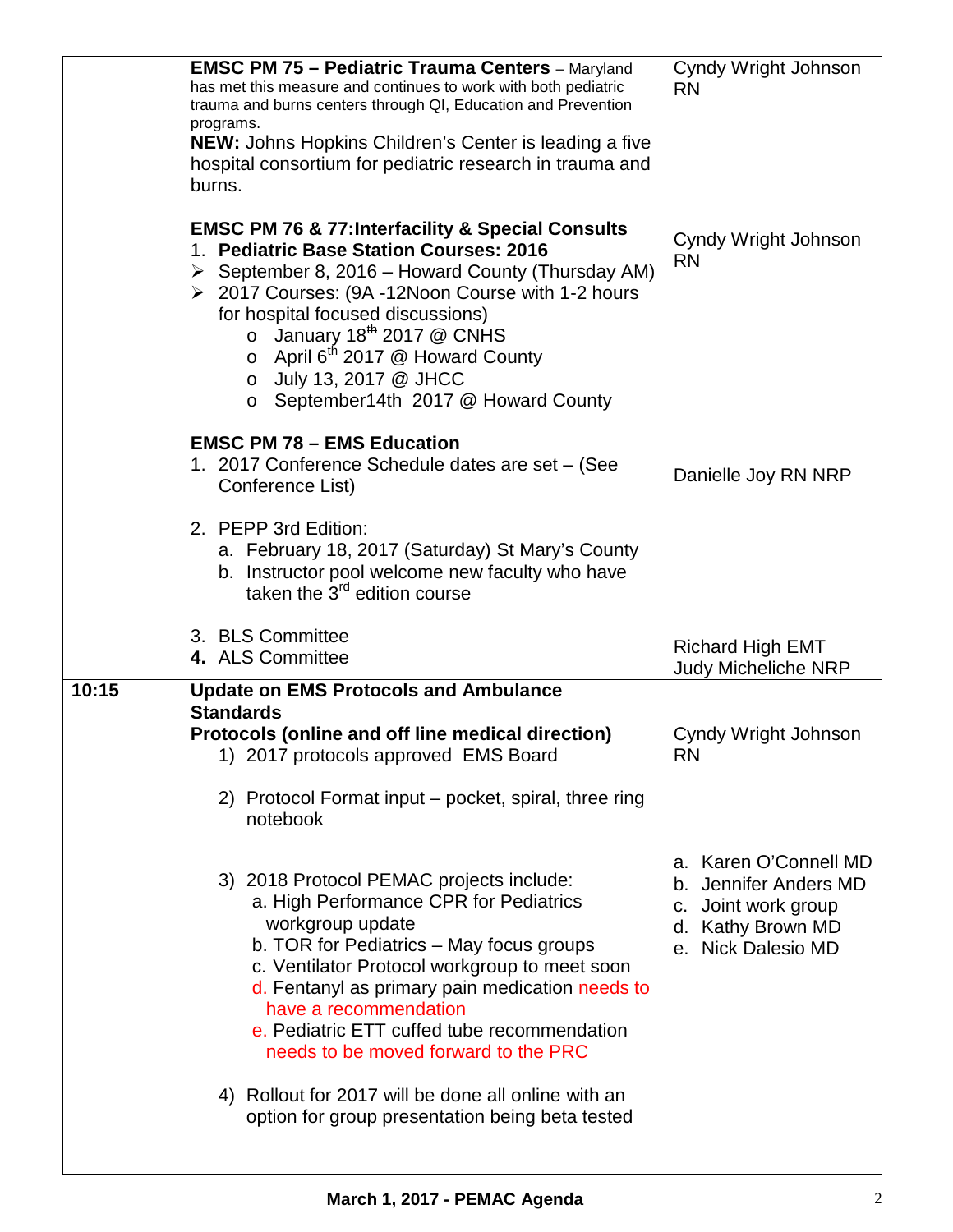|       | <b>EMSC PM 75 - Pediatric Trauma Centers</b> - Maryland<br>has met this measure and continues to work with both pediatric<br>trauma and burns centers through QI, Education and Prevention<br>programs.<br><b>NEW:</b> Johns Hopkins Children's Center is leading a five<br>hospital consortium for pediatric research in trauma and<br>burns.                                                                                        | Cyndy Wright Johnson<br><b>RN</b>                                                                                |
|-------|---------------------------------------------------------------------------------------------------------------------------------------------------------------------------------------------------------------------------------------------------------------------------------------------------------------------------------------------------------------------------------------------------------------------------------------|------------------------------------------------------------------------------------------------------------------|
|       | <b>EMSC PM 76 &amp; 77: Interfacility &amp; Special Consults</b><br>1. Pediatric Base Station Courses: 2016<br>September 8, 2016 - Howard County (Thursday AM)<br>➤<br>▶ 2017 Courses: (9A -12Noon Course with 1-2 hours<br>for hospital focused discussions)<br>$\circ$ January 18 <sup>th</sup> 2017 @ CNHS<br>$\circ$ April 6 <sup>th</sup> 2017 @ Howard County<br>o July 13, 2017 @ JHCC<br>○ September14th 2017 @ Howard County | Cyndy Wright Johnson<br><b>RN</b>                                                                                |
|       | <b>EMSC PM 78 - EMS Education</b><br>1. 2017 Conference Schedule dates are set - (See<br>Conference List)                                                                                                                                                                                                                                                                                                                             | Danielle Joy RN NRP                                                                                              |
|       | 2. PEPP 3rd Edition:<br>a. February 18, 2017 (Saturday) St Mary's County<br>b. Instructor pool welcome new faculty who have<br>taken the 3 <sup>rd</sup> edition course                                                                                                                                                                                                                                                               |                                                                                                                  |
|       | 3. BLS Committee<br>4. ALS Committee                                                                                                                                                                                                                                                                                                                                                                                                  | <b>Richard High EMT</b>                                                                                          |
|       |                                                                                                                                                                                                                                                                                                                                                                                                                                       | <b>Judy Micheliche NRP</b>                                                                                       |
| 10:15 | <b>Update on EMS Protocols and Ambulance</b>                                                                                                                                                                                                                                                                                                                                                                                          |                                                                                                                  |
|       | <b>Standards</b><br>Protocols (online and off line medical direction)<br>1) 2017 protocols approved EMS Board                                                                                                                                                                                                                                                                                                                         | Cyndy Wright Johnson<br><b>RN</b>                                                                                |
|       | 2) Protocol Format input – pocket, spiral, three ring<br>notebook                                                                                                                                                                                                                                                                                                                                                                     |                                                                                                                  |
|       | 3) 2018 Protocol PEMAC projects include:<br>a. High Performance CPR for Pediatrics<br>workgroup update<br>b. TOR for Pediatrics - May focus groups<br>c. Ventilator Protocol workgroup to meet soon<br>d. Fentanyl as primary pain medication needs to<br>have a recommendation<br>e. Pediatric ETT cuffed tube recommendation<br>needs to be moved forward to the PRC                                                                | a. Karen O'Connell MD<br>b. Jennifer Anders MD<br>c. Joint work group<br>d. Kathy Brown MD<br>e. Nick Dalesio MD |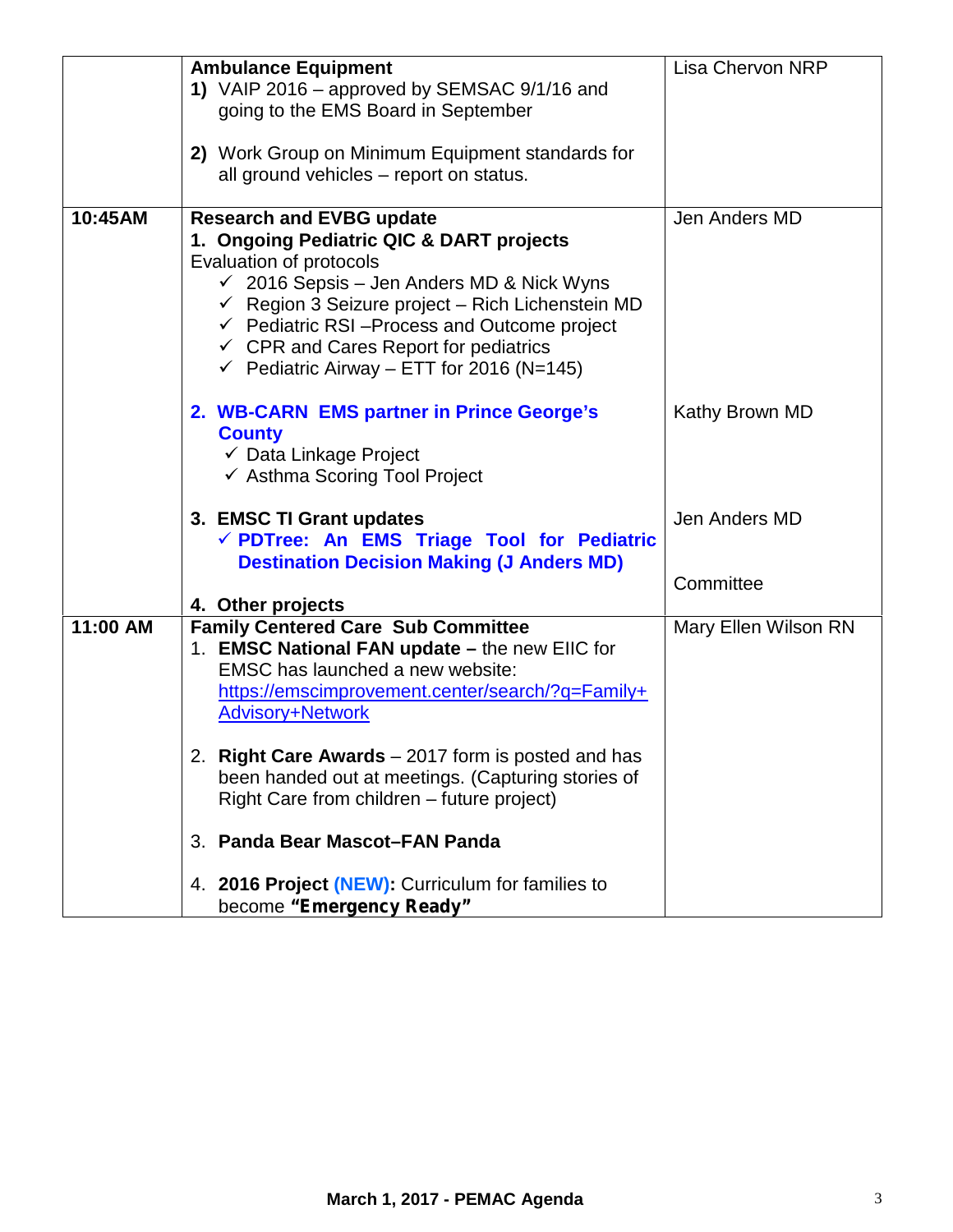|          | <b>Ambulance Equipment</b><br>1) VAIP 2016 – approved by SEMSAC 9/1/16 and<br>going to the EMS Board in September<br>2) Work Group on Minimum Equipment standards for<br>all ground vehicles – report on status.                                                                                                                                                                                    | <b>Lisa Chervon NRP</b>    |
|----------|-----------------------------------------------------------------------------------------------------------------------------------------------------------------------------------------------------------------------------------------------------------------------------------------------------------------------------------------------------------------------------------------------------|----------------------------|
| 10:45AM  | <b>Research and EVBG update</b><br>1. Ongoing Pediatric QIC & DART projects<br>Evaluation of protocols<br>$\checkmark$ 2016 Sepsis - Jen Anders MD & Nick Wyns<br>$\checkmark$ Region 3 Seizure project – Rich Lichenstein MD<br>$\checkmark$ Pediatric RSI-Process and Outcome project<br>$\checkmark$ CPR and Cares Report for pediatrics<br>$\checkmark$ Pediatric Airway – ETT for 2016 (N=145) | Jen Anders MD              |
|          | 2. WB-CARN EMS partner in Prince George's<br><b>County</b><br>$\checkmark$ Data Linkage Project<br>← Asthma Scoring Tool Project                                                                                                                                                                                                                                                                    | Kathy Brown MD             |
|          | 3. EMSC TI Grant updates<br>√ PDTree: An EMS Triage Tool for Pediatric<br><b>Destination Decision Making (J Anders MD)</b>                                                                                                                                                                                                                                                                          | Jen Anders MD<br>Committee |
| 11:00 AM | 4. Other projects<br><b>Family Centered Care Sub Committee</b><br>1. EMSC National FAN update - the new EIIC for<br>EMSC has launched a new website:<br>https://emscimprovement.center/search/?q=Family+<br><b>Advisory+Network</b>                                                                                                                                                                 | Mary Ellen Wilson RN       |
|          | 2. Right Care Awards - 2017 form is posted and has<br>been handed out at meetings. (Capturing stories of<br>Right Care from children - future project)<br>3. Panda Bear Mascot-FAN Panda                                                                                                                                                                                                            |                            |
|          | 4. 2016 Project (NEW): Curriculum for families to<br>become "Emergency Ready"                                                                                                                                                                                                                                                                                                                       |                            |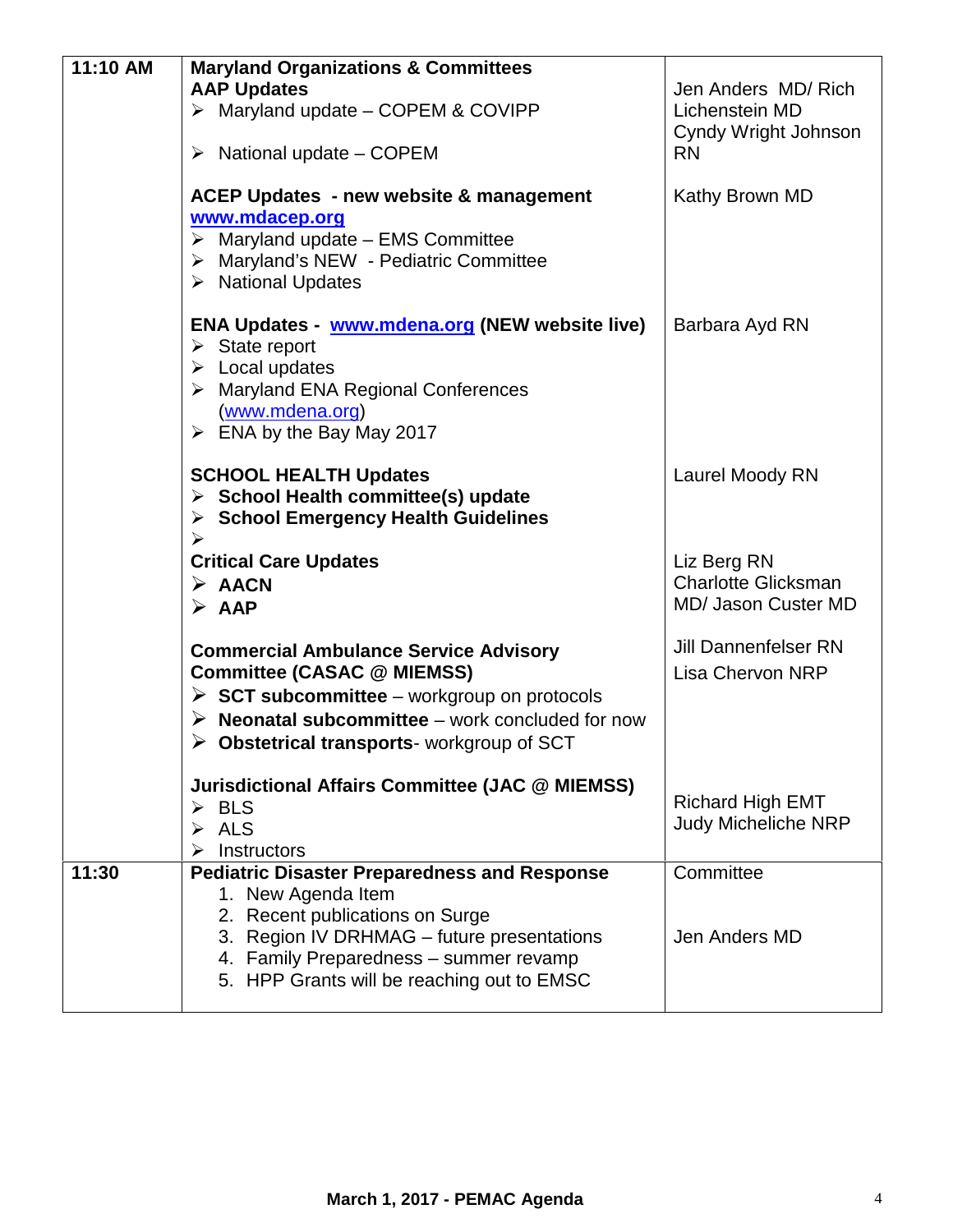| 11:10 AM | <b>Maryland Organizations &amp; Committees</b><br><b>AAP Updates</b>                                                                                                                                                                                                 | Jen Anders MD/Rich                                     |
|----------|----------------------------------------------------------------------------------------------------------------------------------------------------------------------------------------------------------------------------------------------------------------------|--------------------------------------------------------|
|          | $\triangleright$ Maryland update - COPEM & COVIPP                                                                                                                                                                                                                    | Lichenstein MD                                         |
|          | $\triangleright$ National update – COPEM                                                                                                                                                                                                                             | Cyndy Wright Johnson<br><b>RN</b>                      |
|          | <b>ACEP Updates - new website &amp; management</b><br>www.mdacep.org<br>$\triangleright$ Maryland update - EMS Committee<br>> Maryland's NEW - Pediatric Committee<br>$\triangleright$ National Updates                                                              | Kathy Brown MD                                         |
|          | ENA Updates - www.mdena.org (NEW website live)<br>$\triangleright$ State report<br>$\triangleright$ Local updates<br>$\triangleright$ Maryland ENA Regional Conferences<br>(www.mdena.org)<br>$\triangleright$ ENA by the Bay May 2017                               | Barbara Ayd RN                                         |
|          | <b>SCHOOL HEALTH Updates</b><br>$\triangleright$ School Health committee(s) update<br>$\triangleright$ School Emergency Health Guidelines                                                                                                                            | Laurel Moody RN                                        |
|          | <b>Critical Care Updates</b>                                                                                                                                                                                                                                         | Liz Berg RN                                            |
|          | $\triangleright$ AACN<br>$\triangleright$ AAP                                                                                                                                                                                                                        | <b>Charlotte Glicksman</b><br>MD/ Jason Custer MD      |
|          | <b>Commercial Ambulance Service Advisory</b><br><b>Committee (CASAC @ MIEMSS)</b><br>$\triangleright$ SCT subcommittee – workgroup on protocols<br><b>Neonatal subcommittee</b> – work concluded for now<br>$\triangleright$ Obstetrical transports-workgroup of SCT | <b>Jill Dannenfelser RN</b><br><b>Lisa Chervon NRP</b> |
|          | <b>Jurisdictional Affairs Committee (JAC @ MIEMSS)</b><br>$\triangleright$ BLS<br><b>ALS</b><br>Instructors                                                                                                                                                          | <b>Richard High EMT</b><br><b>Judy Micheliche NRP</b>  |
| 11:30    | <b>Pediatric Disaster Preparedness and Response</b><br>1. New Agenda Item<br>2. Recent publications on Surge<br>3. Region IV DRHMAG - future presentations<br>4. Family Preparedness - summer revamp<br>5. HPP Grants will be reaching out to EMSC                   | Committee<br>Jen Anders MD                             |